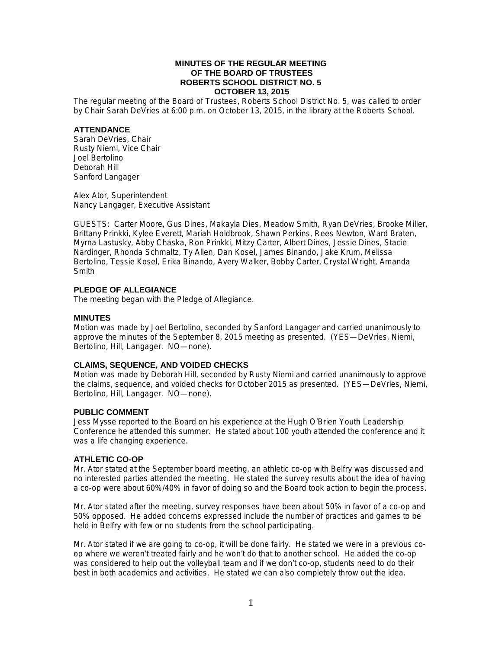### **MINUTES OF THE REGULAR MEETING OF THE BOARD OF TRUSTEES ROBERTS SCHOOL DISTRICT NO. 5 OCTOBER 13, 2015**

The regular meeting of the Board of Trustees, Roberts School District No. 5, was called to order by Chair Sarah DeVries at 6:00 p.m. on October 13, 2015, in the library at the Roberts School.

### **ATTENDANCE**

Sarah DeVries, Chair Rusty Niemi, Vice Chair Joel Bertolino Deborah Hill Sanford Langager

Alex Ator, Superintendent Nancy Langager, Executive Assistant

GUESTS: Carter Moore, Gus Dines, Makayla Dies, Meadow Smith, Ryan DeVries, Brooke Miller, Brittany Prinkki, Kylee Everett, Mariah Holdbrook, Shawn Perkins, Rees Newton, Ward Braten, Myrna Lastusky, Abby Chaska, Ron Prinkki, Mitzy Carter, Albert Dines, Jessie Dines, Stacie Nardinger, Rhonda Schmaltz, Ty Allen, Dan Kosel, James Binando, Jake Krum, Melissa Bertolino, Tessie Kosel, Erika Binando, Avery Walker, Bobby Carter, Crystal Wright, Amanda **Smith** 

# **PLEDGE OF ALLEGIANCE**

The meeting began with the Pledge of Allegiance.

# **MINUTES**

Motion was made by Joel Bertolino, seconded by Sanford Langager and carried unanimously to approve the minutes of the September 8, 2015 meeting as presented. (YES—DeVries, Niemi, Bertolino, Hill, Langager. NO—none).

# **CLAIMS, SEQUENCE, AND VOIDED CHECKS**

Motion was made by Deborah Hill, seconded by Rusty Niemi and carried unanimously to approve the claims, sequence, and voided checks for October 2015 as presented. (YES—DeVries, Niemi, Bertolino, Hill, Langager. NO—none).

# **PUBLIC COMMENT**

Jess Mysse reported to the Board on his experience at the Hugh O'Brien Youth Leadership Conference he attended this summer. He stated about 100 youth attended the conference and it was a life changing experience.

# **ATHLETIC CO-OP**

Mr. Ator stated at the September board meeting, an athletic co-op with Belfry was discussed and no interested parties attended the meeting. He stated the survey results about the idea of having a co-op were about 60%/40% in favor of doing so and the Board took action to begin the process.

Mr. Ator stated after the meeting, survey responses have been about 50% in favor of a co-op and 50% opposed. He added concerns expressed include the number of practices and games to be held in Belfry with few or no students from the school participating.

Mr. Ator stated if we are going to co-op, it will be done fairly. He stated we were in a previous coop where we weren't treated fairly and he won't do that to another school. He added the co-op was considered to help out the volleyball team and if we don't co-op, students need to do their best in both academics and activities. He stated we can also completely throw out the idea.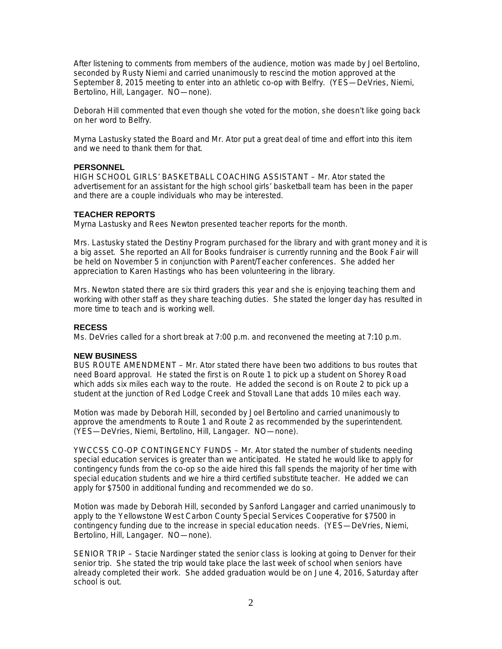After listening to comments from members of the audience, motion was made by Joel Bertolino, seconded by Rusty Niemi and carried unanimously to rescind the motion approved at the September 8, 2015 meeting to enter into an athletic co-op with Belfry. (YES—DeVries, Niemi, Bertolino, Hill, Langager. NO—none).

Deborah Hill commented that even though she voted for the motion, she doesn't like going back on her word to Belfry.

Myrna Lastusky stated the Board and Mr. Ator put a great deal of time and effort into this item and we need to thank them for that.

### **PERSONNEL**

HIGH SCHOOL GIRLS' BASKETBALL COACHING ASSISTANT – Mr. Ator stated the advertisement for an assistant for the high school girls' basketball team has been in the paper and there are a couple individuals who may be interested.

### **TEACHER REPORTS**

Myrna Lastusky and Rees Newton presented teacher reports for the month.

Mrs. Lastusky stated the Destiny Program purchased for the library and with grant money and it is a big asset. She reported an All for Books fundraiser is currently running and the Book Fair will be held on November 5 in conjunction with Parent/Teacher conferences. She added her appreciation to Karen Hastings who has been volunteering in the library.

Mrs. Newton stated there are six third graders this year and she is enjoying teaching them and working with other staff as they share teaching duties. She stated the longer day has resulted in more time to teach and is working well.

#### **RECESS**

Ms. DeVries called for a short break at 7:00 p.m. and reconvened the meeting at 7:10 p.m.

### **NEW BUSINESS**

BUS ROUTE AMENDMENT – Mr. Ator stated there have been two additions to bus routes that need Board approval. He stated the first is on Route 1 to pick up a student on Shorey Road which adds six miles each way to the route. He added the second is on Route 2 to pick up a student at the junction of Red Lodge Creek and Stovall Lane that adds 10 miles each way.

Motion was made by Deborah Hill, seconded by Joel Bertolino and carried unanimously to approve the amendments to Route 1 and Route 2 as recommended by the superintendent. (YES—DeVries, Niemi, Bertolino, Hill, Langager. NO—none).

YWCCSS CO-OP CONTINGENCY FUNDS – Mr. Ator stated the number of students needing special education services is greater than we anticipated. He stated he would like to apply for contingency funds from the co-op so the aide hired this fall spends the majority of her time with special education students and we hire a third certified substitute teacher. He added we can apply for \$7500 in additional funding and recommended we do so.

Motion was made by Deborah Hill, seconded by Sanford Langager and carried unanimously to apply to the Yellowstone West Carbon County Special Services Cooperative for \$7500 in contingency funding due to the increase in special education needs. (YES—DeVries, Niemi, Bertolino, Hill, Langager. NO—none).

SENIOR TRIP – Stacie Nardinger stated the senior class is looking at going to Denver for their senior trip. She stated the trip would take place the last week of school when seniors have already completed their work. She added graduation would be on June 4, 2016, Saturday after school is out.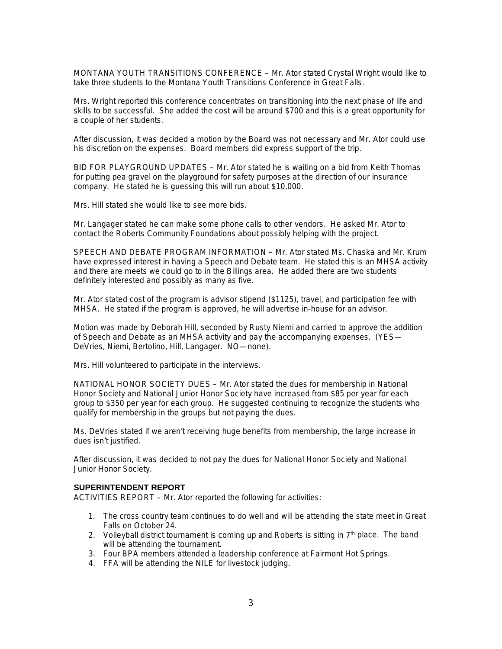MONTANA YOUTH TRANSITIONS CONFERENCE – Mr. Ator stated Crystal Wright would like to take three students to the Montana Youth Transitions Conference in Great Falls.

Mrs. Wright reported this conference concentrates on transitioning into the next phase of life and skills to be successful. She added the cost will be around \$700 and this is a great opportunity for a couple of her students.

After discussion, it was decided a motion by the Board was not necessary and Mr. Ator could use his discretion on the expenses. Board members did express support of the trip.

BID FOR PLAYGROUND UPDATES – Mr. Ator stated he is waiting on a bid from Keith Thomas for putting pea gravel on the playground for safety purposes at the direction of our insurance company. He stated he is guessing this will run about \$10,000.

Mrs. Hill stated she would like to see more bids.

Mr. Langager stated he can make some phone calls to other vendors. He asked Mr. Ator to contact the Roberts Community Foundations about possibly helping with the project.

SPEECH AND DEBATE PROGRAM INFORMATION – Mr. Ator stated Ms. Chaska and Mr. Krum have expressed interest in having a Speech and Debate team. He stated this is an MHSA activity and there are meets we could go to in the Billings area. He added there are two students definitely interested and possibly as many as five.

Mr. Ator stated cost of the program is advisor stipend (\$1125), travel, and participation fee with MHSA. He stated if the program is approved, he will advertise in-house for an advisor.

Motion was made by Deborah Hill, seconded by Rusty Niemi and carried to approve the addition of Speech and Debate as an MHSA activity and pay the accompanying expenses. (YES— DeVries, Niemi, Bertolino, Hill, Langager. NO—none).

Mrs. Hill volunteered to participate in the interviews.

NATIONAL HONOR SOCIETY DUES – Mr. Ator stated the dues for membership in National Honor Society and National Junior Honor Society have increased from \$85 per year for each group to \$350 per year for each group. He suggested continuing to recognize the students who qualify for membership in the groups but not paying the dues.

Ms. DeVries stated if we aren't receiving huge benefits from membership, the large increase in dues isn't justified.

After discussion, it was decided to not pay the dues for National Honor Society and National Junior Honor Society.

#### **SUPERINTENDENT REPORT**

ACTIVITIES REPORT – Mr. Ator reported the following for activities:

- 1. The cross country team continues to do well and will be attending the state meet in Great Falls on October 24.
- 2. Volleyball district tournament is coming up and Roberts is sitting in  $7<sup>th</sup>$  place. The band will be attending the tournament.
- 3. Four BPA members attended a leadership conference at Fairmont Hot Springs.
- 4. FFA will be attending the NILE for livestock judging.